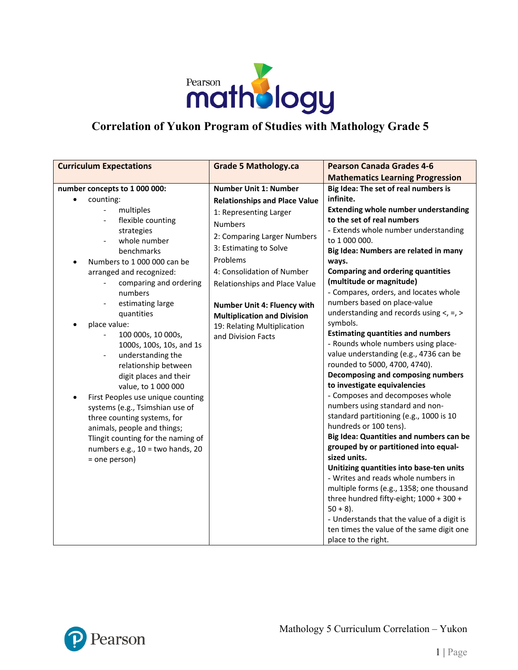

## **Correlation of Yukon Program of Studies with Mathology Grade 5**

| <b>Curriculum Expectations</b>                                                                                                                                                                                                                                                                                                                                                                                                                                                                                                                                                                                                                                  | <b>Grade 5 Mathology.ca</b>                                                                                                                                                                                                                                | <b>Pearson Canada Grades 4-6</b>                                                                                                                                                                                                                                                                                                                                                                                                                                                                                                                                                                                                                                                                                                                                                                                                                                                                                                                                                                |
|-----------------------------------------------------------------------------------------------------------------------------------------------------------------------------------------------------------------------------------------------------------------------------------------------------------------------------------------------------------------------------------------------------------------------------------------------------------------------------------------------------------------------------------------------------------------------------------------------------------------------------------------------------------------|------------------------------------------------------------------------------------------------------------------------------------------------------------------------------------------------------------------------------------------------------------|-------------------------------------------------------------------------------------------------------------------------------------------------------------------------------------------------------------------------------------------------------------------------------------------------------------------------------------------------------------------------------------------------------------------------------------------------------------------------------------------------------------------------------------------------------------------------------------------------------------------------------------------------------------------------------------------------------------------------------------------------------------------------------------------------------------------------------------------------------------------------------------------------------------------------------------------------------------------------------------------------|
|                                                                                                                                                                                                                                                                                                                                                                                                                                                                                                                                                                                                                                                                 |                                                                                                                                                                                                                                                            | <b>Mathematics Learning Progression</b>                                                                                                                                                                                                                                                                                                                                                                                                                                                                                                                                                                                                                                                                                                                                                                                                                                                                                                                                                         |
| number concepts to 1 000 000:<br>counting:<br>multiples<br>flexible counting                                                                                                                                                                                                                                                                                                                                                                                                                                                                                                                                                                                    | <b>Number Unit 1: Number</b><br><b>Relationships and Place Value</b><br>1: Representing Larger<br><b>Numbers</b>                                                                                                                                           | Big Idea: The set of real numbers is<br>infinite.<br><b>Extending whole number understanding</b><br>to the set of real numbers                                                                                                                                                                                                                                                                                                                                                                                                                                                                                                                                                                                                                                                                                                                                                                                                                                                                  |
| strategies<br>whole number<br>$\overline{\phantom{0}}$<br>benchmarks<br>Numbers to 1 000 000 can be<br>arranged and recognized:<br>comparing and ordering<br>numbers<br>estimating large<br>$\overline{\phantom{0}}$<br>quantities<br>place value:<br>100 000s, 10 000s,<br>1000s, 100s, 10s, and 1s<br>understanding the<br>$\overline{\phantom{0}}$<br>relationship between<br>digit places and their<br>value, to 1 000 000<br>First Peoples use unique counting<br>systems (e.g., Tsimshian use of<br>three counting systems, for<br>animals, people and things;<br>Tlingit counting for the naming of<br>numbers e.g., 10 = two hands, 20<br>= one person) | 2: Comparing Larger Numbers<br>3: Estimating to Solve<br>Problems<br>4: Consolidation of Number<br>Relationships and Place Value<br>Number Unit 4: Fluency with<br><b>Multiplication and Division</b><br>19: Relating Multiplication<br>and Division Facts | - Extends whole number understanding<br>to 1 000 000.<br>Big Idea: Numbers are related in many<br>ways.<br><b>Comparing and ordering quantities</b><br>(multitude or magnitude)<br>- Compares, orders, and locates whole<br>numbers based on place-value<br>understanding and records using $\lt$ , =, ><br>symbols.<br><b>Estimating quantities and numbers</b><br>- Rounds whole numbers using place-<br>value understanding (e.g., 4736 can be<br>rounded to 5000, 4700, 4740).<br>Decomposing and composing numbers<br>to investigate equivalencies<br>- Composes and decomposes whole<br>numbers using standard and non-<br>standard partitioning (e.g., 1000 is 10<br>hundreds or 100 tens).<br>Big Idea: Quantities and numbers can be<br>grouped by or partitioned into equal-<br>sized units.<br>Unitizing quantities into base-ten units<br>- Writes and reads whole numbers in<br>multiple forms (e.g., 1358; one thousand<br>three hundred fifty-eight; 1000 + 300 +<br>$50 + 8$ ). |
|                                                                                                                                                                                                                                                                                                                                                                                                                                                                                                                                                                                                                                                                 |                                                                                                                                                                                                                                                            | - Understands that the value of a digit is<br>ten times the value of the same digit one<br>place to the right.                                                                                                                                                                                                                                                                                                                                                                                                                                                                                                                                                                                                                                                                                                                                                                                                                                                                                  |

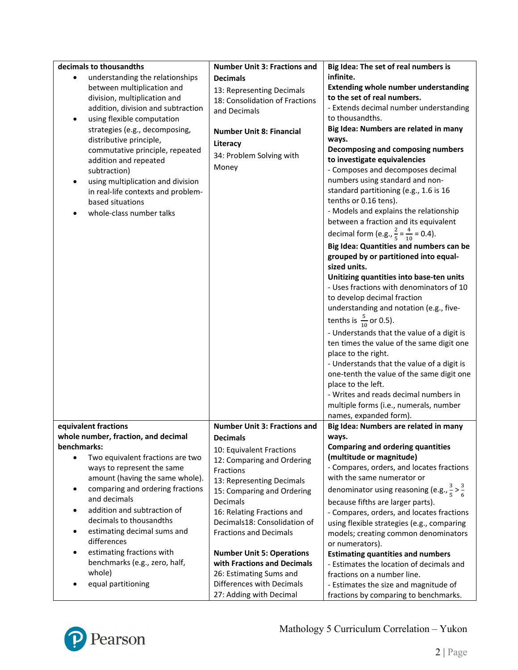| decimals to thousandths             | <b>Number Unit 3: Fractions and</b> | Big Idea: The set of real numbers is                           |
|-------------------------------------|-------------------------------------|----------------------------------------------------------------|
| understanding the relationships     | <b>Decimals</b>                     | infinite.                                                      |
| between multiplication and          | 13: Representing Decimals           | <b>Extending whole number understanding</b>                    |
| division, multiplication and        | 18: Consolidation of Fractions      | to the set of real numbers.                                    |
| addition, division and subtraction  | and Decimals                        | - Extends decimal number understanding                         |
| using flexible computation<br>٠     |                                     | to thousandths.                                                |
| strategies (e.g., decomposing,      | <b>Number Unit 8: Financial</b>     | Big Idea: Numbers are related in many                          |
| distributive principle,             | Literacy                            | ways.                                                          |
| commutative principle, repeated     | 34: Problem Solving with            | Decomposing and composing numbers                              |
| addition and repeated               | Money                               | to investigate equivalencies                                   |
| subtraction)                        |                                     | - Composes and decomposes decimal                              |
| using multiplication and division   |                                     | numbers using standard and non-                                |
| in real-life contexts and problem-  |                                     | standard partitioning (e.g., 1.6 is 16                         |
| based situations                    |                                     | tenths or 0.16 tens).                                          |
| whole-class number talks            |                                     | - Models and explains the relationship                         |
|                                     |                                     | between a fraction and its equivalent                          |
|                                     |                                     | decimal form (e.g., $\frac{2}{5} = \frac{4}{10} = 0.4$ ).      |
|                                     |                                     | Big Idea: Quantities and numbers can be                        |
|                                     |                                     | grouped by or partitioned into equal-                          |
|                                     |                                     | sized units.                                                   |
|                                     |                                     | Unitizing quantities into base-ten units                       |
|                                     |                                     | - Uses fractions with denominators of 10                       |
|                                     |                                     | to develop decimal fraction                                    |
|                                     |                                     | understanding and notation (e.g., five-                        |
|                                     |                                     | tenths is $\frac{5}{10}$ or 0.5).                              |
|                                     |                                     | - Understands that the value of a digit is                     |
|                                     |                                     | ten times the value of the same digit one                      |
|                                     |                                     | place to the right.                                            |
|                                     |                                     | - Understands that the value of a digit is                     |
|                                     |                                     | one-tenth the value of the same digit one                      |
|                                     |                                     | place to the left.                                             |
|                                     |                                     | - Writes and reads decimal numbers in                          |
|                                     |                                     | multiple forms (i.e., numerals, number                         |
|                                     |                                     | names, expanded form).                                         |
| equivalent fractions                | <b>Number Unit 3: Fractions and</b> | Big Idea: Numbers are related in many                          |
| whole number, fraction, and decimal | <b>Decimals</b>                     | ways.                                                          |
| benchmarks:                         | 10: Equivalent Fractions            | <b>Comparing and ordering quantities</b>                       |
| Two equivalent fractions are two    | 12: Comparing and Ordering          | (multitude or magnitude)                                       |
| ways to represent the same          | Fractions                           | - Compares, orders, and locates fractions                      |
| amount (having the same whole).     | 13: Representing Decimals           | with the same numerator or                                     |
| comparing and ordering fractions    | 15: Comparing and Ordering          | denominator using reasoning (e.g., $\frac{3}{5} > \frac{3}{6}$ |
| and decimals                        | Decimals                            | because fifths are larger parts).                              |
| addition and subtraction of         | 16: Relating Fractions and          | - Compares, orders, and locates fractions                      |
| decimals to thousandths             | Decimals18: Consolidation of        | using flexible strategies (e.g., comparing                     |
| estimating decimal sums and<br>٠    | <b>Fractions and Decimals</b>       | models; creating common denominators                           |
| differences                         |                                     | or numerators).                                                |
| estimating fractions with           | <b>Number Unit 5: Operations</b>    | <b>Estimating quantities and numbers</b>                       |
| benchmarks (e.g., zero, half,       | with Fractions and Decimals         | - Estimates the location of decimals and                       |
| whole)                              | 26: Estimating Sums and             | fractions on a number line.                                    |
| equal partitioning                  | Differences with Decimals           | - Estimates the size and magnitude of                          |
|                                     | 27: Adding with Decimal             | fractions by comparing to benchmarks.                          |

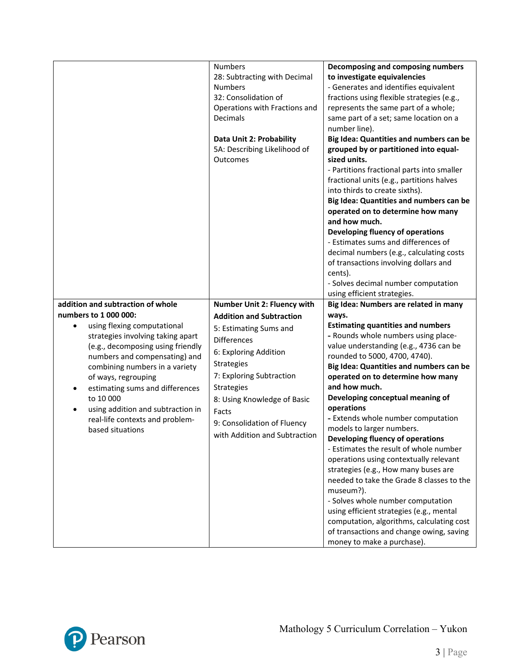|                                                                                                                                                                                                                                                                                                                                                          | <b>Numbers</b><br>28: Subtracting with Decimal<br><b>Numbers</b><br>32: Consolidation of<br>Operations with Fractions and<br>Decimals<br>Data Unit 2: Probability<br>5A: Describing Likelihood of<br>Outcomes                         | Decomposing and composing numbers<br>to investigate equivalencies<br>- Generates and identifies equivalent<br>fractions using flexible strategies (e.g.,<br>represents the same part of a whole;<br>same part of a set; same location on a<br>number line).<br>Big Idea: Quantities and numbers can be<br>grouped by or partitioned into equal-<br>sized units.<br>- Partitions fractional parts into smaller<br>fractional units (e.g., partitions halves<br>into thirds to create sixths).<br>Big Idea: Quantities and numbers can be<br>operated on to determine how many<br>and how much.<br>Developing fluency of operations<br>- Estimates sums and differences of<br>decimal numbers (e.g., calculating costs<br>of transactions involving dollars and<br>cents).<br>- Solves decimal number computation    |
|----------------------------------------------------------------------------------------------------------------------------------------------------------------------------------------------------------------------------------------------------------------------------------------------------------------------------------------------------------|---------------------------------------------------------------------------------------------------------------------------------------------------------------------------------------------------------------------------------------|--------------------------------------------------------------------------------------------------------------------------------------------------------------------------------------------------------------------------------------------------------------------------------------------------------------------------------------------------------------------------------------------------------------------------------------------------------------------------------------------------------------------------------------------------------------------------------------------------------------------------------------------------------------------------------------------------------------------------------------------------------------------------------------------------------------------|
|                                                                                                                                                                                                                                                                                                                                                          |                                                                                                                                                                                                                                       | using efficient strategies.                                                                                                                                                                                                                                                                                                                                                                                                                                                                                                                                                                                                                                                                                                                                                                                        |
| addition and subtraction of whole<br>numbers to 1 000 000:                                                                                                                                                                                                                                                                                               | Number Unit 2: Fluency with<br><b>Addition and Subtraction</b>                                                                                                                                                                        | Big Idea: Numbers are related in many<br>ways.                                                                                                                                                                                                                                                                                                                                                                                                                                                                                                                                                                                                                                                                                                                                                                     |
| using flexing computational<br>$\bullet$<br>strategies involving taking apart<br>(e.g., decomposing using friendly<br>numbers and compensating) and<br>combining numbers in a variety<br>of ways, regrouping<br>estimating sums and differences<br>to 10 000<br>using addition and subtraction in<br>real-life contexts and problem-<br>based situations | 5: Estimating Sums and<br><b>Differences</b><br>6: Exploring Addition<br>Strategies<br>7: Exploring Subtraction<br>Strategies<br>8: Using Knowledge of Basic<br>Facts<br>9: Consolidation of Fluency<br>with Addition and Subtraction | <b>Estimating quantities and numbers</b><br>- Rounds whole numbers using place-<br>value understanding (e.g., 4736 can be<br>rounded to 5000, 4700, 4740).<br>Big Idea: Quantities and numbers can be<br>operated on to determine how many<br>and how much.<br>Developing conceptual meaning of<br>operations<br>- Extends whole number computation<br>models to larger numbers.<br>Developing fluency of operations<br>- Estimates the result of whole number<br>operations using contextually relevant<br>strategies (e.g., How many buses are<br>needed to take the Grade 8 classes to the<br>museum?).<br>- Solves whole number computation<br>using efficient strategies (e.g., mental<br>computation, algorithms, calculating cost<br>of transactions and change owing, saving<br>money to make a purchase). |

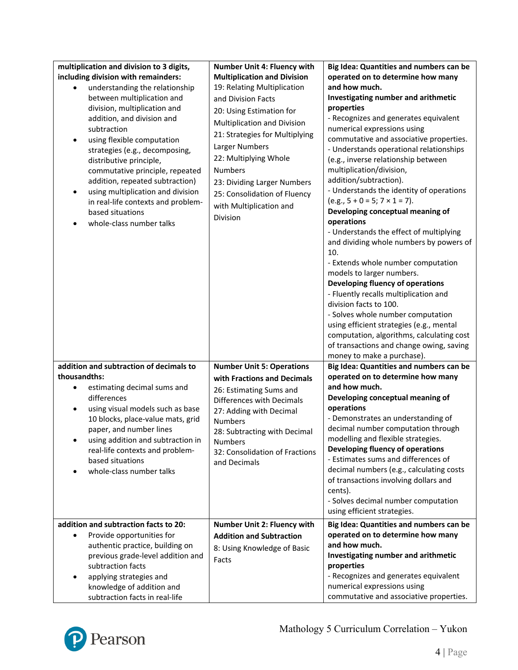| multiplication and division to 3 digits,<br>including division with remainders:<br>understanding the relationship<br>between multiplication and<br>division, multiplication and<br>addition, and division and<br>subtraction<br>using flexible computation<br>$\bullet$<br>strategies (e.g., decomposing,<br>distributive principle,<br>commutative principle, repeated<br>addition, repeated subtraction)<br>using multiplication and division<br>$\bullet$<br>in real-life contexts and problem-<br>based situations<br>whole-class number talks | <b>Number Unit 4: Fluency with</b><br><b>Multiplication and Division</b><br>19: Relating Multiplication<br>and Division Facts<br>20: Using Estimation for<br>Multiplication and Division<br>21: Strategies for Multiplying<br>Larger Numbers<br>22: Multiplying Whole<br><b>Numbers</b><br>23: Dividing Larger Numbers<br>25: Consolidation of Fluency<br>with Multiplication and<br>Division | Big Idea: Quantities and numbers can be<br>operated on to determine how many<br>and how much.<br>Investigating number and arithmetic<br>properties<br>- Recognizes and generates equivalent<br>numerical expressions using<br>commutative and associative properties.<br>- Understands operational relationships<br>(e.g., inverse relationship between<br>multiplication/division,<br>addition/subtraction).<br>- Understands the identity of operations<br>$(e.g., 5 + 0 = 5; 7 \times 1 = 7).$<br>Developing conceptual meaning of<br>operations<br>- Understands the effect of multiplying<br>and dividing whole numbers by powers of<br>10.<br>- Extends whole number computation<br>models to larger numbers.<br>Developing fluency of operations<br>- Fluently recalls multiplication and<br>division facts to 100.<br>- Solves whole number computation<br>using efficient strategies (e.g., mental<br>computation, algorithms, calculating cost<br>of transactions and change owing, saving |
|----------------------------------------------------------------------------------------------------------------------------------------------------------------------------------------------------------------------------------------------------------------------------------------------------------------------------------------------------------------------------------------------------------------------------------------------------------------------------------------------------------------------------------------------------|-----------------------------------------------------------------------------------------------------------------------------------------------------------------------------------------------------------------------------------------------------------------------------------------------------------------------------------------------------------------------------------------------|------------------------------------------------------------------------------------------------------------------------------------------------------------------------------------------------------------------------------------------------------------------------------------------------------------------------------------------------------------------------------------------------------------------------------------------------------------------------------------------------------------------------------------------------------------------------------------------------------------------------------------------------------------------------------------------------------------------------------------------------------------------------------------------------------------------------------------------------------------------------------------------------------------------------------------------------------------------------------------------------------|
| addition and subtraction of decimals to<br>thousandths:<br>estimating decimal sums and<br>differences<br>using visual models such as base<br>٠<br>10 blocks, place-value mats, grid<br>paper, and number lines<br>using addition and subtraction in<br>real-life contexts and problem-<br>based situations<br>whole-class number talks                                                                                                                                                                                                             | <b>Number Unit 5: Operations</b><br>with Fractions and Decimals<br>26: Estimating Sums and<br>Differences with Decimals<br>27: Adding with Decimal<br><b>Numbers</b><br>28: Subtracting with Decimal<br><b>Numbers</b><br>32: Consolidation of Fractions<br>and Decimals                                                                                                                      | money to make a purchase).<br>Big Idea: Quantities and numbers can be<br>operated on to determine how many<br>and how much.<br>Developing conceptual meaning of<br>operations<br>- Demonstrates an understanding of<br>decimal number computation through<br>modelling and flexible strategies.<br>Developing fluency of operations<br>- Estimates sums and differences of<br>decimal numbers (e.g., calculating costs<br>of transactions involving dollars and<br>cents).<br>- Solves decimal number computation<br>using efficient strategies.                                                                                                                                                                                                                                                                                                                                                                                                                                                     |
| addition and subtraction facts to 20:<br>Provide opportunities for<br>$\bullet$<br>authentic practice, building on<br>previous grade-level addition and<br>subtraction facts<br>applying strategies and<br>knowledge of addition and<br>subtraction facts in real-life                                                                                                                                                                                                                                                                             | Number Unit 2: Fluency with<br><b>Addition and Subtraction</b><br>8: Using Knowledge of Basic<br>Facts                                                                                                                                                                                                                                                                                        | Big Idea: Quantities and numbers can be<br>operated on to determine how many<br>and how much.<br>Investigating number and arithmetic<br>properties<br>- Recognizes and generates equivalent<br>numerical expressions using<br>commutative and associative properties.                                                                                                                                                                                                                                                                                                                                                                                                                                                                                                                                                                                                                                                                                                                                |

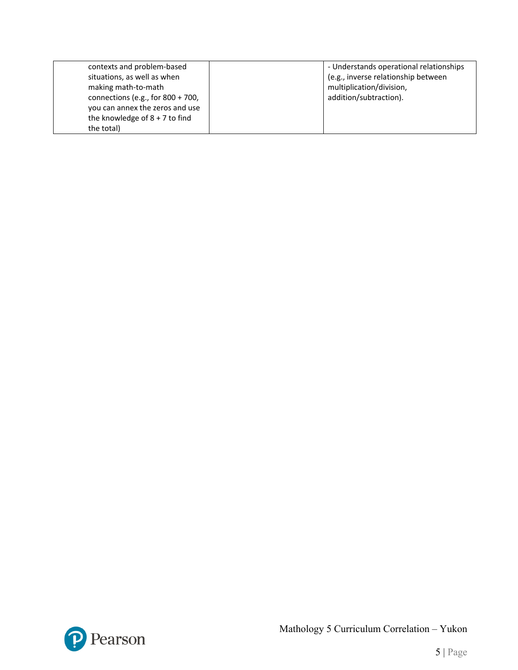| contexts and problem-based           | - Understands operational relationships |
|--------------------------------------|-----------------------------------------|
| situations, as well as when          | (e.g., inverse relationship between     |
| making math-to-math                  | multiplication/division,                |
| connections (e.g., for $800 + 700$ , | addition/subtraction).                  |
| you can annex the zeros and use      |                                         |
| the knowledge of $8 + 7$ to find     |                                         |
| the total)                           |                                         |

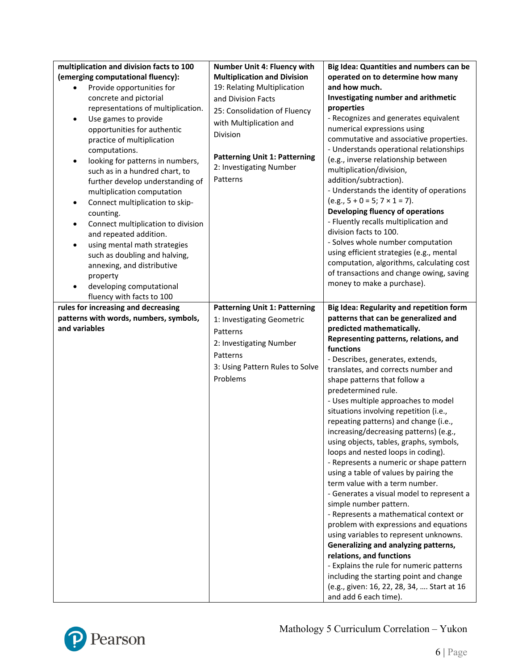| multiplication and division facts to 100<br>(emerging computational fluency): | <b>Number Unit 4: Fluency with</b><br><b>Multiplication and Division</b> | Big Idea: Quantities and numbers can be<br>operated on to determine how many |
|-------------------------------------------------------------------------------|--------------------------------------------------------------------------|------------------------------------------------------------------------------|
| Provide opportunities for                                                     | 19: Relating Multiplication                                              | and how much.                                                                |
|                                                                               |                                                                          | Investigating number and arithmetic                                          |
| concrete and pictorial                                                        | and Division Facts                                                       |                                                                              |
| representations of multiplication.                                            | 25: Consolidation of Fluency                                             | properties                                                                   |
| Use games to provide<br>$\bullet$                                             | with Multiplication and                                                  | - Recognizes and generates equivalent                                        |
| opportunities for authentic                                                   | Division                                                                 | numerical expressions using                                                  |
| practice of multiplication                                                    |                                                                          | commutative and associative properties.                                      |
| computations.                                                                 | <b>Patterning Unit 1: Patterning</b>                                     | - Understands operational relationships                                      |
| looking for patterns in numbers,<br>٠                                         | 2: Investigating Number                                                  | (e.g., inverse relationship between                                          |
| such as in a hundred chart, to                                                |                                                                          | multiplication/division,                                                     |
| further develop understanding of                                              | Patterns                                                                 | addition/subtraction).                                                       |
| multiplication computation                                                    |                                                                          | - Understands the identity of operations                                     |
| Connect multiplication to skip-<br>٠                                          |                                                                          | $(e.g., 5 + 0 = 5; 7 \times 1 = 7).$                                         |
| counting.                                                                     |                                                                          | Developing fluency of operations                                             |
| Connect multiplication to division<br>٠                                       |                                                                          | - Fluently recalls multiplication and                                        |
| and repeated addition.                                                        |                                                                          | division facts to 100.                                                       |
| using mental math strategies<br>$\bullet$                                     |                                                                          | - Solves whole number computation                                            |
| such as doubling and halving,                                                 |                                                                          | using efficient strategies (e.g., mental                                     |
| annexing, and distributive                                                    |                                                                          | computation, algorithms, calculating cost                                    |
| property                                                                      |                                                                          | of transactions and change owing, saving                                     |
| developing computational<br>٠                                                 |                                                                          | money to make a purchase).                                                   |
| fluency with facts to 100                                                     |                                                                          |                                                                              |
| rules for increasing and decreasing                                           | <b>Patterning Unit 1: Patterning</b>                                     | <b>Big Idea: Regularity and repetition form</b>                              |
| patterns with words, numbers, symbols,                                        | 1: Investigating Geometric                                               | patterns that can be generalized and                                         |
| and variables                                                                 | Patterns                                                                 | predicted mathematically.                                                    |
|                                                                               |                                                                          | Representing patterns, relations, and                                        |
|                                                                               | 2: Investigating Number                                                  | functions                                                                    |
|                                                                               | Patterns                                                                 | - Describes, generates, extends,                                             |
|                                                                               | 3: Using Pattern Rules to Solve                                          | translates, and corrects number and                                          |
|                                                                               | Problems                                                                 | shape patterns that follow a                                                 |
|                                                                               |                                                                          | predetermined rule.                                                          |
|                                                                               |                                                                          | - Uses multiple approaches to model                                          |
|                                                                               |                                                                          | situations involving repetition (i.e.,                                       |
|                                                                               |                                                                          | repeating patterns) and change (i.e.,                                        |
|                                                                               |                                                                          | increasing/decreasing patterns) (e.g.,                                       |
|                                                                               |                                                                          | using objects, tables, graphs, symbols,                                      |
|                                                                               |                                                                          | loops and nested loops in coding).                                           |
|                                                                               |                                                                          | - Represents a numeric or shape pattern                                      |
|                                                                               |                                                                          | using a table of values by pairing the                                       |
|                                                                               |                                                                          | term value with a term number.                                               |
|                                                                               |                                                                          | - Generates a visual model to represent a                                    |
|                                                                               |                                                                          | simple number pattern.                                                       |
|                                                                               |                                                                          | - Represents a mathematical context or                                       |
|                                                                               |                                                                          | problem with expressions and equations                                       |
|                                                                               |                                                                          | using variables to represent unknowns.                                       |
|                                                                               |                                                                          | Generalizing and analyzing patterns,                                         |
|                                                                               |                                                                          | relations, and functions                                                     |
|                                                                               |                                                                          | - Explains the rule for numeric patterns                                     |
|                                                                               |                                                                          | including the starting point and change                                      |
|                                                                               |                                                                          | (e.g., given: 16, 22, 28, 34,  Start at 16                                   |
|                                                                               |                                                                          | and add 6 each time).                                                        |

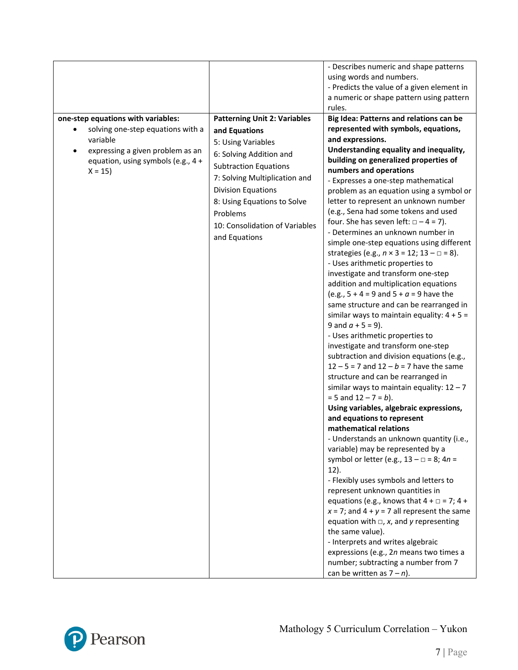|                                                                                                                                                                                        |                                                                                                                                                                                                                                                                                                   | - Describes numeric and shape patterns<br>using words and numbers.<br>- Predicts the value of a given element in<br>a numeric or shape pattern using pattern<br>rules.                                                                                                                                                                                                                                                                                                                                                                                                                                                                                                                                                                                                                                                                                                                                                                                                                                                                                                                                                                                                                                                                                                                                                                                                                                                                                                                                                                                                                                                                                                                                                                                                                                     |
|----------------------------------------------------------------------------------------------------------------------------------------------------------------------------------------|---------------------------------------------------------------------------------------------------------------------------------------------------------------------------------------------------------------------------------------------------------------------------------------------------|------------------------------------------------------------------------------------------------------------------------------------------------------------------------------------------------------------------------------------------------------------------------------------------------------------------------------------------------------------------------------------------------------------------------------------------------------------------------------------------------------------------------------------------------------------------------------------------------------------------------------------------------------------------------------------------------------------------------------------------------------------------------------------------------------------------------------------------------------------------------------------------------------------------------------------------------------------------------------------------------------------------------------------------------------------------------------------------------------------------------------------------------------------------------------------------------------------------------------------------------------------------------------------------------------------------------------------------------------------------------------------------------------------------------------------------------------------------------------------------------------------------------------------------------------------------------------------------------------------------------------------------------------------------------------------------------------------------------------------------------------------------------------------------------------------|
| one-step equations with variables:<br>solving one-step equations with a<br>$\bullet$<br>variable<br>expressing a given problem as an<br>equation, using symbols (e.g., 4 +<br>$X = 15$ | <b>Patterning Unit 2: Variables</b><br>and Equations<br>5: Using Variables<br>6: Solving Addition and<br><b>Subtraction Equations</b><br>7: Solving Multiplication and<br><b>Division Equations</b><br>8: Using Equations to Solve<br>Problems<br>10: Consolidation of Variables<br>and Equations | Big Idea: Patterns and relations can be<br>represented with symbols, equations,<br>and expressions.<br>Understanding equality and inequality,<br>building on generalized properties of<br>numbers and operations<br>- Expresses a one-step mathematical<br>problem as an equation using a symbol or<br>letter to represent an unknown number<br>(e.g., Sena had some tokens and used<br>four. She has seven left: $\Box - 4 = 7$ ).<br>- Determines an unknown number in<br>simple one-step equations using different<br>strategies (e.g., $n \times 3 = 12$ ; $13 - \square = 8$ ).<br>- Uses arithmetic properties to<br>investigate and transform one-step<br>addition and multiplication equations<br>(e.g., $5 + 4 = 9$ and $5 + a = 9$ have the<br>same structure and can be rearranged in<br>similar ways to maintain equality: $4 + 5 =$<br>9 and $a + 5 = 9$ ).<br>- Uses arithmetic properties to<br>investigate and transform one-step<br>subtraction and division equations (e.g.,<br>$12 - 5 = 7$ and $12 - b = 7$ have the same<br>structure and can be rearranged in<br>similar ways to maintain equality: $12 - 7$<br>$= 5$ and $12 - 7 = b$ ).<br>Using variables, algebraic expressions,<br>and equations to represent<br>mathematical relations<br>- Understands an unknown quantity (i.e.,<br>variable) may be represented by a<br>symbol or letter (e.g., $13 - \square = 8$ ; $4n =$<br>$12$ ).<br>- Flexibly uses symbols and letters to<br>represent unknown quantities in<br>equations (e.g., knows that $4 + \square = 7$ ; $4 +$<br>$x = 7$ ; and $4 + y = 7$ all represent the same<br>equation with $\Box$ , x, and y representing<br>the same value).<br>- Interprets and writes algebraic<br>expressions (e.g., 2n means two times a<br>number; subtracting a number from 7 |

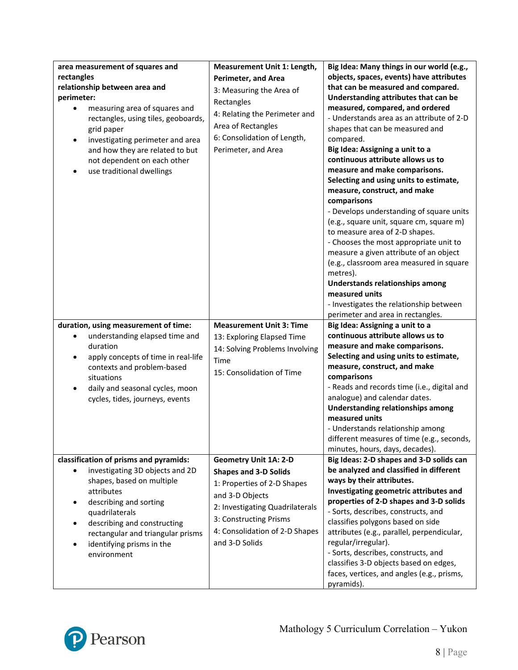| area measurement of squares and<br>rectangles<br>relationship between area and<br>perimeter:<br>measuring area of squares and<br>$\bullet$<br>rectangles, using tiles, geoboards,<br>grid paper<br>investigating perimeter and area<br>٠<br>and how they are related to but<br>not dependent on each other<br>use traditional dwellings | Measurement Unit 1: Length,<br><b>Perimeter, and Area</b><br>3: Measuring the Area of<br>Rectangles<br>4: Relating the Perimeter and<br>Area of Rectangles<br>6: Consolidation of Length,<br>Perimeter, and Area                | Big Idea: Many things in our world (e.g.,<br>objects, spaces, events) have attributes<br>that can be measured and compared.<br>Understanding attributes that can be<br>measured, compared, and ordered<br>- Understands area as an attribute of 2-D<br>shapes that can be measured and<br>compared.<br>Big Idea: Assigning a unit to a<br>continuous attribute allows us to<br>measure and make comparisons.<br>Selecting and using units to estimate,<br>measure, construct, and make<br>comparisons<br>- Develops understanding of square units<br>(e.g., square unit, square cm, square m)<br>to measure area of 2-D shapes.<br>- Chooses the most appropriate unit to<br>measure a given attribute of an object<br>(e.g., classroom area measured in square<br>metres).<br>Understands relationships among<br>measured units<br>- Investigates the relationship between<br>perimeter and area in rectangles. |
|-----------------------------------------------------------------------------------------------------------------------------------------------------------------------------------------------------------------------------------------------------------------------------------------------------------------------------------------|---------------------------------------------------------------------------------------------------------------------------------------------------------------------------------------------------------------------------------|------------------------------------------------------------------------------------------------------------------------------------------------------------------------------------------------------------------------------------------------------------------------------------------------------------------------------------------------------------------------------------------------------------------------------------------------------------------------------------------------------------------------------------------------------------------------------------------------------------------------------------------------------------------------------------------------------------------------------------------------------------------------------------------------------------------------------------------------------------------------------------------------------------------|
| duration, using measurement of time:<br>understanding elapsed time and<br>$\bullet$<br>duration<br>apply concepts of time in real-life<br>$\bullet$<br>contexts and problem-based<br>situations<br>daily and seasonal cycles, moon<br>$\bullet$<br>cycles, tides, journeys, events                                                      | <b>Measurement Unit 3: Time</b><br>13: Exploring Elapsed Time<br>14: Solving Problems Involving<br>Time<br>15: Consolidation of Time                                                                                            | Big Idea: Assigning a unit to a<br>continuous attribute allows us to<br>measure and make comparisons.<br>Selecting and using units to estimate,<br>measure, construct, and make<br>comparisons<br>- Reads and records time (i.e., digital and<br>analogue) and calendar dates.<br><b>Understanding relationships among</b><br>measured units<br>- Understands relationship among<br>different measures of time (e.g., seconds,<br>minutes, hours, days, decades).                                                                                                                                                                                                                                                                                                                                                                                                                                                |
| classification of prisms and pyramids:<br>investigating 3D objects and 2D<br>shapes, based on multiple<br>attributes<br>describing and sorting<br>quadrilaterals<br>describing and constructing<br>rectangular and triangular prisms<br>identifying prisms in the<br>environment                                                        | <b>Geometry Unit 1A: 2-D</b><br><b>Shapes and 3-D Solids</b><br>1: Properties of 2-D Shapes<br>and 3-D Objects<br>2: Investigating Quadrilaterals<br>3: Constructing Prisms<br>4: Consolidation of 2-D Shapes<br>and 3-D Solids | Big Ideas: 2-D shapes and 3-D solids can<br>be analyzed and classified in different<br>ways by their attributes.<br>Investigating geometric attributes and<br>properties of 2-D shapes and 3-D solids<br>- Sorts, describes, constructs, and<br>classifies polygons based on side<br>attributes (e.g., parallel, perpendicular,<br>regular/irregular).<br>- Sorts, describes, constructs, and<br>classifies 3-D objects based on edges,<br>faces, vertices, and angles (e.g., prisms,<br>pyramids).                                                                                                                                                                                                                                                                                                                                                                                                              |

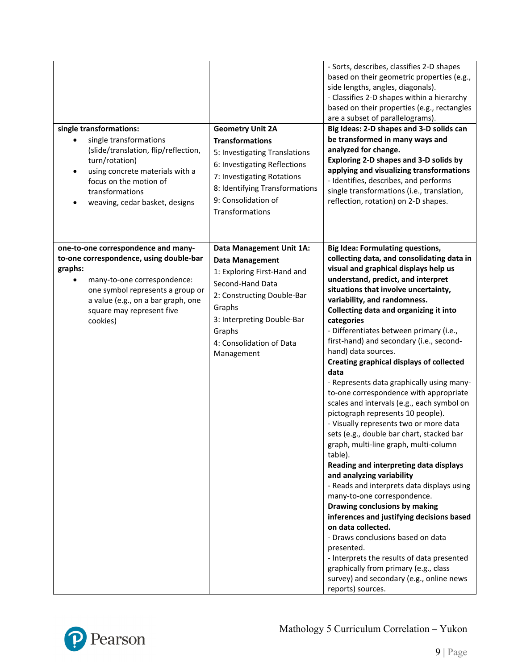| single transformations:<br>single transformations<br>(slide/translation, flip/reflection,<br>turn/rotation)<br>using concrete materials with a<br>٠<br>focus on the motion of<br>transformations<br>weaving, cedar basket, designs          | <b>Geometry Unit 2A</b><br><b>Transformations</b><br>5: Investigating Translations<br>6: Investigating Reflections<br>7: Investigating Rotations<br>8: Identifying Transformations<br>9: Consolidation of<br>Transformations    | - Sorts, describes, classifies 2-D shapes<br>based on their geometric properties (e.g.,<br>side lengths, angles, diagonals).<br>- Classifies 2-D shapes within a hierarchy<br>based on their properties (e.g., rectangles<br>are a subset of parallelograms).<br>Big Ideas: 2-D shapes and 3-D solids can<br>be transformed in many ways and<br>analyzed for change.<br>Exploring 2-D shapes and 3-D solids by<br>applying and visualizing transformations<br>- Identifies, describes, and performs<br>single transformations (i.e., translation,<br>reflection, rotation) on 2-D shapes.                                                                                                                                                                                                                                                                                                                                                                                                                                                                                                                                                                                                                                                                             |
|---------------------------------------------------------------------------------------------------------------------------------------------------------------------------------------------------------------------------------------------|---------------------------------------------------------------------------------------------------------------------------------------------------------------------------------------------------------------------------------|-----------------------------------------------------------------------------------------------------------------------------------------------------------------------------------------------------------------------------------------------------------------------------------------------------------------------------------------------------------------------------------------------------------------------------------------------------------------------------------------------------------------------------------------------------------------------------------------------------------------------------------------------------------------------------------------------------------------------------------------------------------------------------------------------------------------------------------------------------------------------------------------------------------------------------------------------------------------------------------------------------------------------------------------------------------------------------------------------------------------------------------------------------------------------------------------------------------------------------------------------------------------------|
| one-to-one correspondence and many-<br>to-one correspondence, using double-bar<br>graphs:<br>many-to-one correspondence:<br>one symbol represents a group or<br>a value (e.g., on a bar graph, one<br>square may represent five<br>cookies) | Data Management Unit 1A:<br><b>Data Management</b><br>1: Exploring First-Hand and<br>Second-Hand Data<br>2: Constructing Double-Bar<br>Graphs<br>3: Interpreting Double-Bar<br>Graphs<br>4: Consolidation of Data<br>Management | <b>Big Idea: Formulating questions,</b><br>collecting data, and consolidating data in<br>visual and graphical displays help us<br>understand, predict, and interpret<br>situations that involve uncertainty,<br>variability, and randomness.<br>Collecting data and organizing it into<br>categories<br>- Differentiates between primary (i.e.,<br>first-hand) and secondary (i.e., second-<br>hand) data sources.<br><b>Creating graphical displays of collected</b><br>data<br>- Represents data graphically using many-<br>to-one correspondence with appropriate<br>scales and intervals (e.g., each symbol on<br>pictograph represents 10 people).<br>- Visually represents two or more data<br>sets (e.g., double bar chart, stacked bar<br>graph, multi-line graph, multi-column<br>table).<br>Reading and interpreting data displays<br>and analyzing variability<br>- Reads and interprets data displays using<br>many-to-one correspondence.<br>Drawing conclusions by making<br>inferences and justifying decisions based<br>on data collected.<br>- Draws conclusions based on data<br>presented.<br>- Interprets the results of data presented<br>graphically from primary (e.g., class<br>survey) and secondary (e.g., online news<br>reports) sources. |

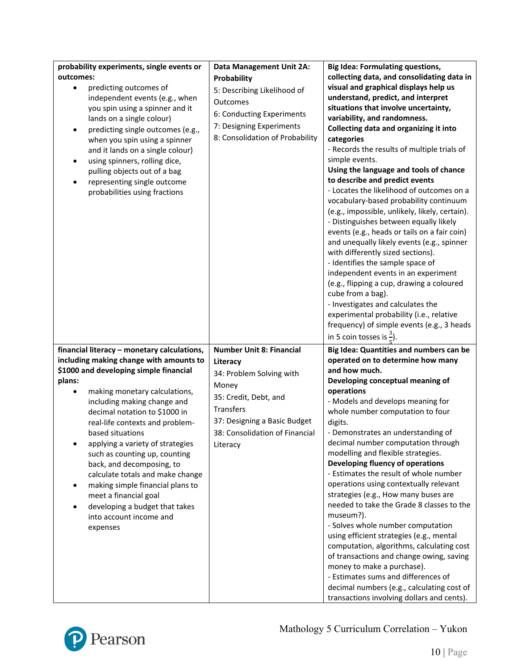| probability experiments, single events or<br>outcomes:<br>predicting outcomes of                                                                                                                                                                                                                                                                                                                                                                                                                                                                                               | Data Management Unit 2A:<br>Probability                                                                                                                                                              | <b>Big Idea: Formulating questions,</b><br>collecting data, and consolidating data in<br>visual and graphical displays help us                                                                                                                                                                                                                                                                                                                                                                                                                                                                                                                                                                                                                                                                                                                                               |
|--------------------------------------------------------------------------------------------------------------------------------------------------------------------------------------------------------------------------------------------------------------------------------------------------------------------------------------------------------------------------------------------------------------------------------------------------------------------------------------------------------------------------------------------------------------------------------|------------------------------------------------------------------------------------------------------------------------------------------------------------------------------------------------------|------------------------------------------------------------------------------------------------------------------------------------------------------------------------------------------------------------------------------------------------------------------------------------------------------------------------------------------------------------------------------------------------------------------------------------------------------------------------------------------------------------------------------------------------------------------------------------------------------------------------------------------------------------------------------------------------------------------------------------------------------------------------------------------------------------------------------------------------------------------------------|
| independent events (e.g., when<br>you spin using a spinner and it                                                                                                                                                                                                                                                                                                                                                                                                                                                                                                              | 5: Describing Likelihood of<br>Outcomes<br>6: Conducting Experiments                                                                                                                                 | understand, predict, and interpret<br>situations that involve uncertainty,                                                                                                                                                                                                                                                                                                                                                                                                                                                                                                                                                                                                                                                                                                                                                                                                   |
| lands on a single colour)<br>predicting single outcomes (e.g.,<br>$\bullet$<br>when you spin using a spinner<br>and it lands on a single colour)<br>using spinners, rolling dice,<br>pulling objects out of a bag<br>representing single outcome<br>٠<br>probabilities using fractions                                                                                                                                                                                                                                                                                         | 7: Designing Experiments<br>8: Consolidation of Probability                                                                                                                                          | variability, and randomness.<br>Collecting data and organizing it into<br>categories<br>- Records the results of multiple trials of<br>simple events.<br>Using the language and tools of chance<br>to describe and predict events<br>- Locates the likelihood of outcomes on a<br>vocabulary-based probability continuum<br>(e.g., impossible, unlikely, likely, certain).<br>- Distinguishes between equally likely<br>events (e.g., heads or tails on a fair coin)<br>and unequally likely events (e.g., spinner<br>with differently sized sections).<br>- Identifies the sample space of<br>independent events in an experiment<br>(e.g., flipping a cup, drawing a coloured<br>cube from a bag).<br>- Investigates and calculates the                                                                                                                                    |
|                                                                                                                                                                                                                                                                                                                                                                                                                                                                                                                                                                                |                                                                                                                                                                                                      | experimental probability (i.e., relative<br>frequency) of simple events (e.g., 3 heads<br>in 5 coin tosses is $\frac{3}{2}$ ).                                                                                                                                                                                                                                                                                                                                                                                                                                                                                                                                                                                                                                                                                                                                               |
| financial literacy - monetary calculations,<br>including making change with amounts to<br>\$1000 and developing simple financial<br>plans:<br>making monetary calculations,<br>including making change and<br>decimal notation to \$1000 in<br>real-life contexts and problem-<br>based situations<br>applying a variety of strategies<br>such as counting up, counting<br>back, and decomposing, to<br>calculate totals and make change<br>making simple financial plans to<br>meet a financial goal<br>developing a budget that takes<br>into account income and<br>expenses | <b>Number Unit 8: Financial</b><br>Literacy<br>34: Problem Solving with<br>Money<br>35: Credit, Debt, and<br>Transfers<br>37: Designing a Basic Budget<br>38: Consolidation of Financial<br>Literacy | Big Idea: Quantities and numbers can be<br>operated on to determine how many<br>and how much.<br>Developing conceptual meaning of<br>operations<br>- Models and develops meaning for<br>whole number computation to four<br>digits.<br>- Demonstrates an understanding of<br>decimal number computation through<br>modelling and flexible strategies.<br>Developing fluency of operations<br>- Estimates the result of whole number<br>operations using contextually relevant<br>strategies (e.g., How many buses are<br>needed to take the Grade 8 classes to the<br>museum?).<br>- Solves whole number computation<br>using efficient strategies (e.g., mental<br>computation, algorithms, calculating cost<br>of transactions and change owing, saving<br>money to make a purchase).<br>- Estimates sums and differences of<br>decimal numbers (e.g., calculating cost of |